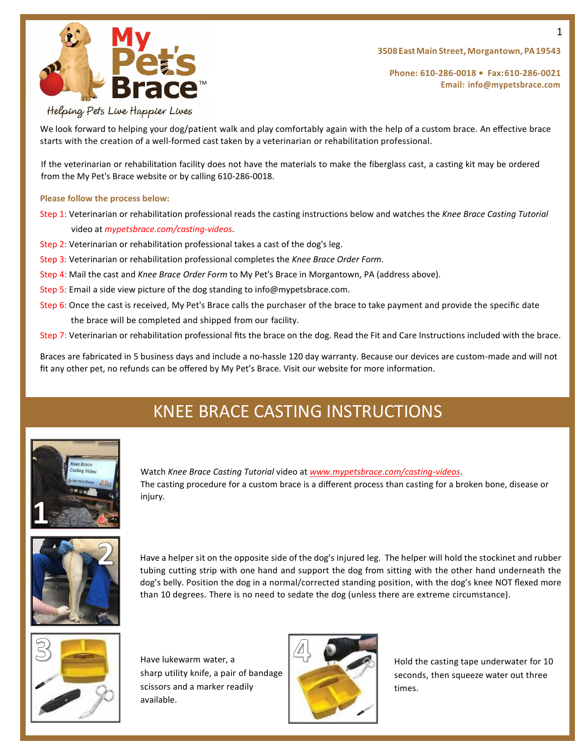

**Phone: 610-286-0018 • Fax:610-286-0021 Email: [info@mypetsbrace.com](mailto:info@mypetsbrace.com)**

#### Helping Pets Live Happier Lives

We look forward to helping your dog/patient walk and play comfortably again with the help of a custom brace. An effective brace starts with the creation of a well-formed cast taken by a veterinarian or rehabilitation professional.

If the veterinarian or rehabilitation facility does not have the materials to make the fiberglass cast, a casting kit may be ordered from the My Pet's Brace website or by calling 610-286-0018.

#### **Please follow the process below:**

Step 1: Veterinarian or rehabilitation professional reads the casting instructions below and watches the *Knee Brace Casting Tutorial* video at *mypetsbrace.com/casting-videos*.

- Step 2: Veterinarian or rehabilitation professional takes a cast of the dog's leg.
- Step 3: Veterinarian or rehabilitation professional completes the *Knee Brace Order Form*.
- Step 4: Mail the cast and *Knee Brace Order Form* to My Pet's Brace in Morgantown, PA (address above).
- Step 5: Email a side view picture of the dog standing to info@mypetsbrace.com.
- Step 6: Once the cast is received, My Pet's Brace calls the purchaser of the brace to take payment and provide the specific date the brace will be completed and shipped from our facility.
- Step 7: Veterinarian or rehabilitation professional fits the brace on the dog. Read the Fit and Care Instructions included with the brace.

Braces are fabricated in 5 business days and include a no-hassle 120 day warranty. Because our devices are custom-made and will not fit any other pet, no refunds can be offered by My Pet's Brace. Visit our website for more information.

# KNEE BRACE CASTING INSTRUCTIONS



Watch *Knee Brace Casting Tutorial* video at *[www.mypetsbrace.com/casting-videos](http://www.mypetsbrace.com/casting-videos.)*. The casting procedure for a custom brace is a different process than casting for a broken bone, disease or injury.



Have a helper sit on the opposite side of the dog's injured leg. The helper will hold the stockinet and rubber tubing cutting strip with one hand and support the dog from sitting with the other hand underneath the dog's belly. Position the dog in a normal/corrected standing position, with the dog's knee NOT flexed more than 10 degrees. There is no need to sedate the dog (unless there are extreme circumstance).



Have lukewarm water, a  $H = H \cup H$  Hold the casting tape underwater for 10 scissors and a marker readily times. available.



sharp utility knife, a pair of bandage  $\left| \right|$  seconds, then squeeze water out three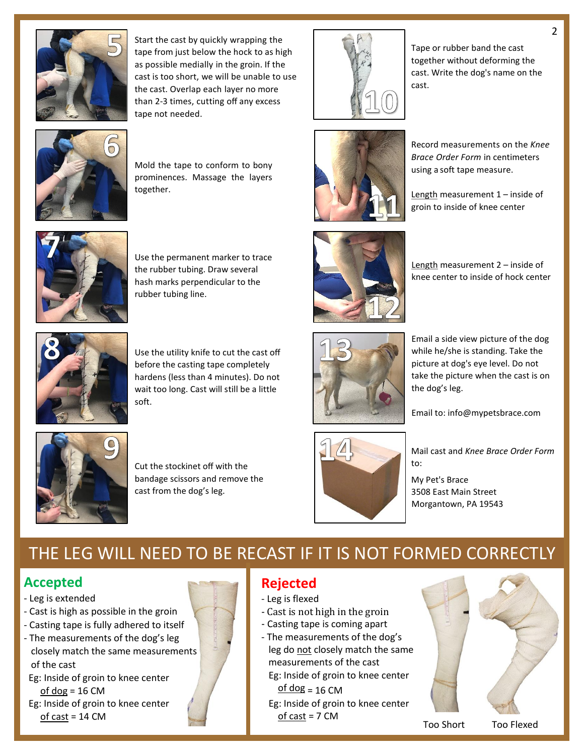

Start the cast by quickly wrapping the tape from just below the hock to as high as possible medially in the groin. If the cast is too short, we will be unable to use the cast. Overlap each layer no more than 2-3 times, cutting off any excess tape not needed.



Mold the tape to conform to bony prominences. Massage the layers together.



Use the permanent marker to trace the rubber tubing. Draw several hash marks perpendicular to the rubber tubing line.



Use the utility knife to cut the cast off before the casting tape completely hardens (less than 4 minutes). Do not wait too long. Cast will still be a little soft.



Cut the stockinet off with the bandage scissors and remove the cast from the dog's leg.



Tape or rubber band the cast together without deforming the cast. Write the dog's name on the cast.



Record measurements on the *Knee Brace Order Form* in centimeters using a soft tape measure.

Length measurement 1 – inside of groin to inside of knee center



Length measurement 2 – inside of knee center to inside of hock center



Email a side view picture of the dog while he/she is standing. Take the picture at dog's eye level. Do not take the picture when the cast is on the dog's leg.

Email to: info@mypetsbrace.com



Mail cast and *Knee Brace Order Form* to:

My Pet's Brace 3508 East Main Street Morgantown, PA 19543

## THE LEG WILL NEED TO BE RECAST IF IT IS NOT FORMED CORRECTLY

### **Accepted**

- Leg is extended
- Cast is high as possible in the groin
- Casting tape is fully adhered to itself
- The measurements of the dog's leg closely match the same measurements of the cast
- Eg: Inside of groin to knee center  $of dog = 16 CM$
- Eg: Inside of groin to knee center of cast = 14 CM

### **Rejected**

- Leg is flexed
- Cast is not high in the groin
- Casting tape is coming apart
- The measurements of the dog's

 leg do not closely match the same measurements of the cast Eg: Inside of groin to knee center

 $of$  dog = 16 CM Eg: Inside of groin to knee center of cast = 7 CM



2

Too Short Too Flexed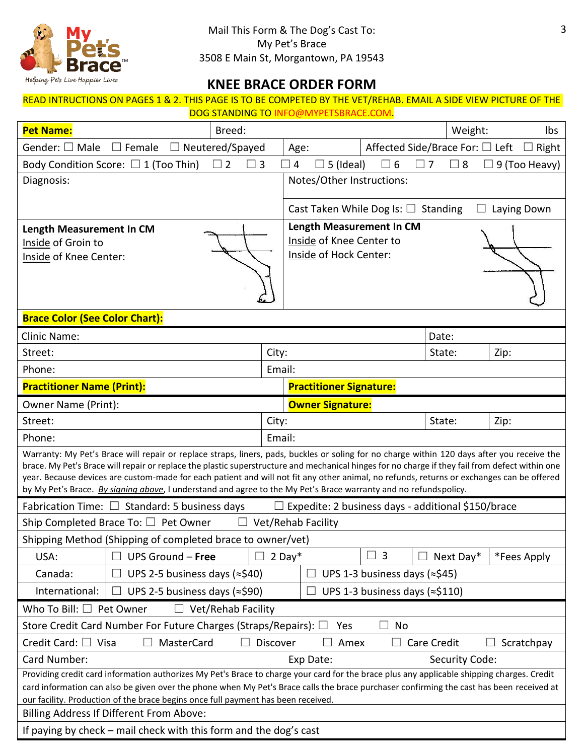

3

## **KNEE BRACE ORDER FORM**

#### READ INTRUCTIONS ON PAGES 1 & 2. THIS PAGE IS TO BE COMPETED BY THE VET/REHAB. EMAIL A SIDE VIEW PICTURE OF THE DOG STANDING TO INFO@MYPETSBRACE.COM.

| <b>Pet Name:</b><br>Breed:                                                                                                                                                                                                                                                                                                                                                                                                                                                                                                                                      |        |                                                                                |  | Weight:              | Ibs                  |
|-----------------------------------------------------------------------------------------------------------------------------------------------------------------------------------------------------------------------------------------------------------------------------------------------------------------------------------------------------------------------------------------------------------------------------------------------------------------------------------------------------------------------------------------------------------------|--------|--------------------------------------------------------------------------------|--|----------------------|----------------------|
| Gender: □ Male<br>$\Box$ Female<br>Affected Side/Brace For: □ Left<br>$\Box$ Neutered/Spayed<br>Right<br>Age:                                                                                                                                                                                                                                                                                                                                                                                                                                                   |        |                                                                                |  |                      |                      |
| Body Condition Score: $\Box$ 1 (Too Thin)<br>$\Box$ 2<br>$\square$ 3                                                                                                                                                                                                                                                                                                                                                                                                                                                                                            |        | $\exists$ 5 (Ideal)<br>$\Box$ 6<br>$\Box$ 4                                    |  | $\Box$ 7<br>$\Box$ 8 | $\Box$ 9 (Too Heavy) |
| Diagnosis:                                                                                                                                                                                                                                                                                                                                                                                                                                                                                                                                                      |        | Notes/Other Instructions:                                                      |  |                      |                      |
|                                                                                                                                                                                                                                                                                                                                                                                                                                                                                                                                                                 |        | Cast Taken While Dog Is: $\Box$ Standing                                       |  |                      | Laying Down          |
| Length Measurement In CM<br>Inside of Groin to<br>Inside of Knee Center:                                                                                                                                                                                                                                                                                                                                                                                                                                                                                        |        | Length Measurement In CM<br>Inside of Knee Center to<br>Inside of Hock Center: |  |                      |                      |
| <b>Brace Color (See Color Chart):</b>                                                                                                                                                                                                                                                                                                                                                                                                                                                                                                                           |        |                                                                                |  |                      |                      |
| <b>Clinic Name:</b>                                                                                                                                                                                                                                                                                                                                                                                                                                                                                                                                             |        |                                                                                |  | Date:                |                      |
| Street:                                                                                                                                                                                                                                                                                                                                                                                                                                                                                                                                                         | City:  |                                                                                |  | State:               | Zip:                 |
| Phone:                                                                                                                                                                                                                                                                                                                                                                                                                                                                                                                                                          | Email: |                                                                                |  |                      |                      |
| <b>Practitioner Name (Print):</b><br><b>Practitioner Signature:</b>                                                                                                                                                                                                                                                                                                                                                                                                                                                                                             |        |                                                                                |  |                      |                      |
| Owner Name (Print):                                                                                                                                                                                                                                                                                                                                                                                                                                                                                                                                             |        | <b>Owner Signature:</b>                                                        |  |                      |                      |
| Street:                                                                                                                                                                                                                                                                                                                                                                                                                                                                                                                                                         | City:  |                                                                                |  | State:               | Zip:                 |
| Phone:<br>Email:                                                                                                                                                                                                                                                                                                                                                                                                                                                                                                                                                |        |                                                                                |  |                      |                      |
| Warranty: My Pet's Brace will repair or replace straps, liners, pads, buckles or soling for no charge within 120 days after you receive the<br>brace. My Pet's Brace will repair or replace the plastic superstructure and mechanical hinges for no charge if they fail from defect within one<br>year. Because devices are custom-made for each patient and will not fit any other animal, no refunds, returns or exchanges can be offered<br>by My Pet's Brace. By signing above, I understand and agree to the My Pet's Brace warranty and no refundspolicy. |        |                                                                                |  |                      |                      |
| Fabrication Time: $\square$ Standard: 5 business days<br>Expedite: 2 business days - additional \$150/brace                                                                                                                                                                                                                                                                                                                                                                                                                                                     |        |                                                                                |  |                      |                      |
| Ship Completed Brace To: $\Box$ Pet Owner<br><b>Vet/Rehab Facility</b><br>$\Box$                                                                                                                                                                                                                                                                                                                                                                                                                                                                                |        |                                                                                |  |                      |                      |
| Shipping Method (Shipping of completed brace to owner/vet)                                                                                                                                                                                                                                                                                                                                                                                                                                                                                                      |        |                                                                                |  |                      |                      |
| USA:<br>UPS Ground $-$ Free                                                                                                                                                                                                                                                                                                                                                                                                                                                                                                                                     |        | $\overline{\mathbf{3}}$<br>$2$ Day*<br>$\Box$                                  |  | Next Day*            | *Fees Apply          |
| UPS 2-5 business days (≈\$40)<br>UPS 1-3 business days ( $\approx$ \$45)<br>Canada:<br>$\Box$                                                                                                                                                                                                                                                                                                                                                                                                                                                                   |        |                                                                                |  |                      |                      |
| International:<br>UPS 2-5 business days (≈\$90)<br>UPS 1-3 business days (≈\$110)<br>ப                                                                                                                                                                                                                                                                                                                                                                                                                                                                          |        |                                                                                |  |                      |                      |
| Who To Bill: $\Box$ Pet Owner<br>Vet/Rehab Facility                                                                                                                                                                                                                                                                                                                                                                                                                                                                                                             |        |                                                                                |  |                      |                      |
| Store Credit Card Number For Future Charges (Straps/Repairs): □<br>No<br>Yes                                                                                                                                                                                                                                                                                                                                                                                                                                                                                    |        |                                                                                |  |                      |                      |
| Credit Card: $\Box$ Visa<br>MasterCard<br>Discover<br>Amex<br>Care Credit<br>Scratchpay                                                                                                                                                                                                                                                                                                                                                                                                                                                                         |        |                                                                                |  |                      |                      |
| Card Number:<br>Exp Date:<br>Security Code:                                                                                                                                                                                                                                                                                                                                                                                                                                                                                                                     |        |                                                                                |  |                      |                      |
| Providing credit card information authorizes My Pet's Brace to charge your card for the brace plus any applicable shipping charges. Credit<br>card information can also be given over the phone when My Pet's Brace calls the brace purchaser confirming the cast has been received at<br>our facility. Production of the brace begins once full payment has been received.                                                                                                                                                                                     |        |                                                                                |  |                      |                      |
| Billing Address If Different From Above:                                                                                                                                                                                                                                                                                                                                                                                                                                                                                                                        |        |                                                                                |  |                      |                      |
| If paying by check – mail check with this form and the dog's cast                                                                                                                                                                                                                                                                                                                                                                                                                                                                                               |        |                                                                                |  |                      |                      |